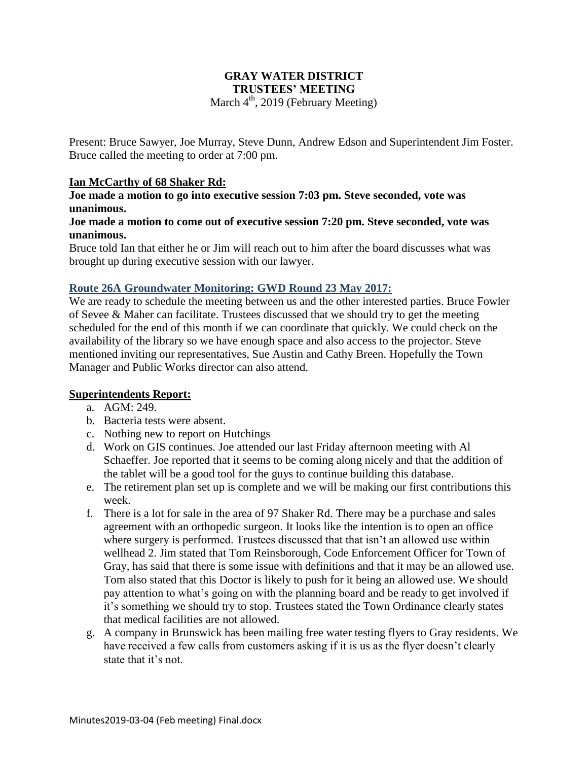### **GRAY WATER DISTRICT TRUSTEES' MEETING** March  $4<sup>th</sup>$ , 2019 (February Meeting)

Present: Bruce Sawyer, Joe Murray, Steve Dunn, Andrew Edson and Superintendent Jim Foster. Bruce called the meeting to order at 7:00 pm.

### **Ian McCarthy of 68 Shaker Rd:**

**Joe made a motion to go into executive session 7:03 pm. Steve seconded, vote was unanimous.**

### **Joe made a motion to come out of executive session 7:20 pm. Steve seconded, vote was unanimous.**

Bruce told Ian that either he or Jim will reach out to him after the board discusses what was brought up during executive session with our lawyer.

### **Route 26A Groundwater Monitoring: GWD Round 23 May 2017:**

We are ready to schedule the meeting between us and the other interested parties. Bruce Fowler of Sevee & Maher can facilitate. Trustees discussed that we should try to get the meeting scheduled for the end of this month if we can coordinate that quickly. We could check on the availability of the library so we have enough space and also access to the projector. Steve mentioned inviting our representatives, Sue Austin and Cathy Breen. Hopefully the Town Manager and Public Works director can also attend.

### **Superintendents Report:**

- a. AGM: 249.
- b. Bacteria tests were absent.
- c. Nothing new to report on Hutchings
- d. Work on GIS continues. Joe attended our last Friday afternoon meeting with Al Schaeffer. Joe reported that it seems to be coming along nicely and that the addition of the tablet will be a good tool for the guys to continue building this database.
- e. The retirement plan set up is complete and we will be making our first contributions this week.
- f. There is a lot for sale in the area of 97 Shaker Rd. There may be a purchase and sales agreement with an orthopedic surgeon. It looks like the intention is to open an office where surgery is performed. Trustees discussed that that isn't an allowed use within wellhead 2. Jim stated that Tom Reinsborough, Code Enforcement Officer for Town of Gray, has said that there is some issue with definitions and that it may be an allowed use. Tom also stated that this Doctor is likely to push for it being an allowed use. We should pay attention to what's going on with the planning board and be ready to get involved if it's something we should try to stop. Trustees stated the Town Ordinance clearly states that medical facilities are not allowed.
- g. A company in Brunswick has been mailing free water testing flyers to Gray residents. We have received a few calls from customers asking if it is us as the flyer doesn't clearly state that it's not.